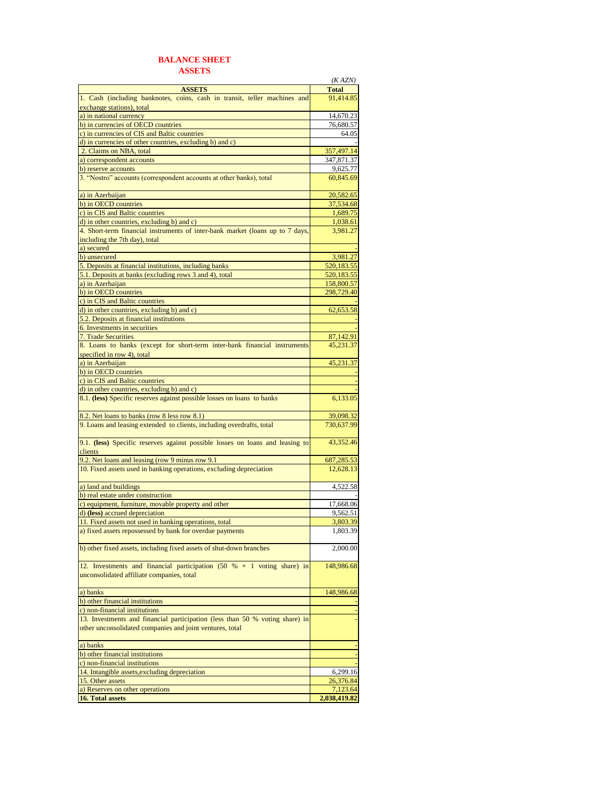## **BALANCE SHEET**

|--|

|                                                                               | (KAZN)       |
|-------------------------------------------------------------------------------|--------------|
| <b>ASSETS</b>                                                                 | <b>Total</b> |
| 1. Cash (including banknotes, coins, cash in transit, teller machines and     | 91,414.85    |
| exchange stations), total                                                     |              |
| a) in national currency                                                       | 14,670.23    |
| b) in currencies of OECD countries                                            | 76,680.57    |
| c) in currencies of CIS and Baltic countries                                  | 64.05        |
| d) in currencies of other countries, excluding b) and c)                      |              |
|                                                                               |              |
| 2. Claims on NBA, total                                                       | 357,497.14   |
| a) correspondent accounts                                                     | 347,871.37   |
| b) reserve accounts                                                           | 9,625.77     |
| 3. "Nostro" accounts (correspondent accounts at other banks), total           | 60,845.69    |
| a) in Azerbaijan                                                              | 20,582.65    |
| b) in OECD countries                                                          | 37,534.68    |
| c) in CIS and Baltic countries                                                | 1,689.75     |
| d) in other countries, excluding b) and c)                                    | 1,038.61     |
| 4. Short-term financial instruments of inter-bank market (loans up to 7 days, | 3,981.27     |
| including the 7th day), total                                                 |              |
| a) secured                                                                    |              |
| b) unsecured                                                                  | 3,981.27     |
|                                                                               |              |
| 5. Deposits at financial institutions, including banks                        | 520,183.55   |
| 5.1. Deposits at banks (excluding rows 3 and 4), total                        | 520,183.55   |
| a) in Azerbaijan                                                              | 158,800.57   |
| b) in OECD countries                                                          | 298,729.40   |
| c) in CIS and Baltic countries                                                |              |
| d) in other countries, excluding b) and c)                                    | 62,653.58    |
| 5.2. Deposits at financial institutions                                       |              |
| 6. Investments in securities                                                  |              |
| 7. Trade Securities                                                           | 87,142.91    |
| 8. Loans to banks (except for short-term inter-bank financial instruments     | 45,231.37    |
|                                                                               |              |
| specified in row 4), total<br>a) in Azerbaijan                                |              |
|                                                                               | 45,231.37    |
| b) in OECD countries                                                          |              |
| c) in CIS and Baltic countries                                                |              |
| d) in other countries, excluding b) and c)                                    |              |
| 8.1. (less) Specific reserves against possible losses on loans to banks       | 6,133.05     |
|                                                                               |              |
| 8.2. Net loans to banks (row 8 less row 8.1)                                  | 39,098.32    |
| 9. Loans and leasing extended to clients, including overdrafts, total         | 730,637.99   |
|                                                                               |              |
| 9.1. (less) Specific reserves against possible losses on loans and leasing to | 43,352.46    |
| clients                                                                       |              |
| 9.2. Net loans and leasing (row 9 minus row 9.1                               | 687,285.53   |
| 10. Fixed assets used in banking operations, excluding depreciation           | 12,628.13    |
| a) land and buildings                                                         | 4,522.58     |
| b) real estate under construction                                             |              |
| c) equipment, furniture, movable property and other                           | 17,668.06    |
|                                                                               | 9,562.51     |
| d) (less) accrued depreciation                                                |              |
| 11. Fixed assets not used in banking operations, total                        | 3.803.39     |
| a) fixed assets repossessed by bank for overdue payments                      | 1,803.39     |
| b) other fixed assets, including fixed assets of shut-down branches           | 2,000.00     |
|                                                                               |              |
| 12. Investments and financial participation $(50 % + 1 $ voting share) in     | 148,986.68   |
| unconsolidated affiliate companies, total                                     |              |
|                                                                               |              |
| a) banks                                                                      | 148,986.68   |
| b) other financial institutions                                               |              |
| c) non-financial institutions                                                 |              |
| 13. Investments and financial participation (less than 50 % voting share) in  |              |
| other unconsolidated companies and joint ventures, total                      |              |
| a) banks                                                                      |              |
|                                                                               |              |
| b) other financial institutions                                               |              |
| c) non-financial institutions                                                 |              |
| 14. Intangible assets, excluding depreciation                                 | 6,299.16     |
| 15. Other assets                                                              | 26,376.84    |
| a) Reserves on other operations                                               | 7,123.64     |
| 16. Total assets                                                              | 2,038,419.82 |